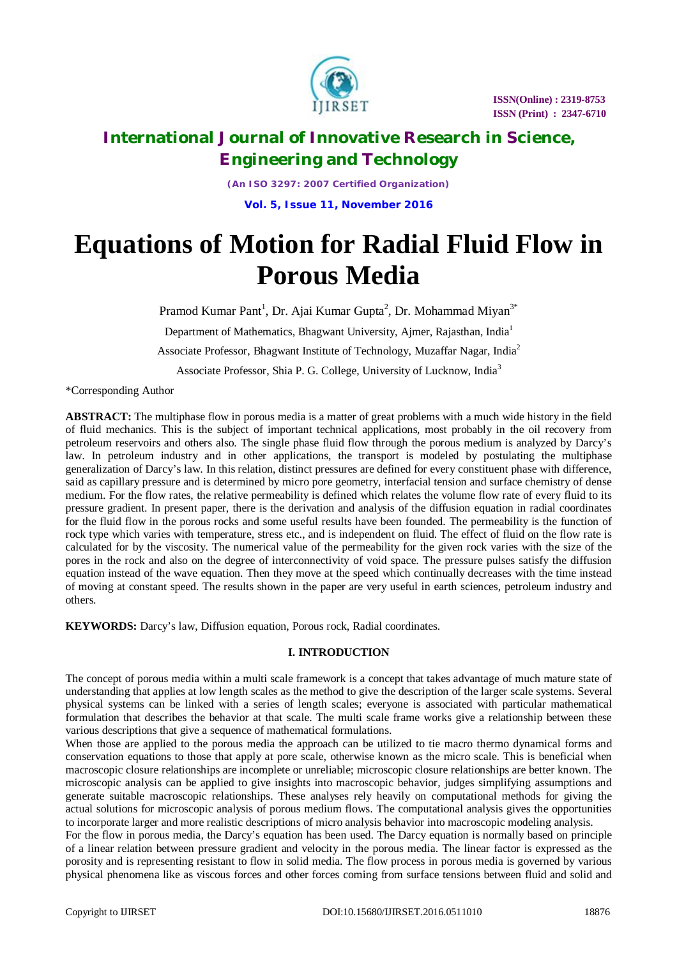

*(An ISO 3297: 2007 Certified Organization)* **Vol. 5, Issue 11, November 2016**

# **Equations of Motion for Radial Fluid Flow in Porous Media**

Pramod Kumar Pant<sup>1</sup>, Dr. Ajai Kumar Gupta<sup>2</sup>, Dr. Mohammad Miyan<sup>3\*</sup>

Department of Mathematics, Bhagwant University, Ajmer, Rajasthan, India<sup>1</sup>

Associate Professor, Bhagwant Institute of Technology, Muzaffar Nagar, India<sup>2</sup>

Associate Professor, Shia P. G. College, University of Lucknow, India<sup>3</sup>

\*Corresponding Author

**ABSTRACT:** The multiphase flow in porous media is a matter of great problems with a much wide history in the field of fluid mechanics. This is the subject of important technical applications, most probably in the oil recovery from petroleum reservoirs and others also. The single phase fluid flow through the porous medium is analyzed by Darcy's law. In petroleum industry and in other applications, the transport is modeled by postulating the multiphase generalization of Darcy's law*.* In this relation, distinct pressures are defined for every constituent phase with difference, said as capillary pressure and is determined by micro pore geometry, interfacial tension and surface chemistry of dense medium. For the flow rates, the relative permeability is defined which relates the volume flow rate of every fluid to its pressure gradient. In present paper, there is the derivation and analysis of the diffusion equation in radial coordinates for the fluid flow in the porous rocks and some useful results have been founded. The permeability is the function of rock type which varies with temperature, stress etc., and is independent on fluid. The effect of fluid on the flow rate is calculated for by the viscosity. The numerical value of the permeability for the given rock varies with the size of the pores in the rock and also on the degree of interconnectivity of void space. The pressure pulses satisfy the diffusion equation instead of the wave equation. Then they move at the speed which continually decreases with the time instead of moving at constant speed. The results shown in the paper are very useful in earth sciences, petroleum industry and others.

**KEYWORDS:** Darcy's law, Diffusion equation, Porous rock, Radial coordinates.

#### **I. INTRODUCTION**

The concept of porous media within a multi scale framework is a concept that takes advantage of much mature state of understanding that applies at low length scales as the method to give the description of the larger scale systems. Several physical systems can be linked with a series of length scales; everyone is associated with particular mathematical formulation that describes the behavior at that scale. The multi scale frame works give a relationship between these various descriptions that give a sequence of mathematical formulations.

When those are applied to the porous media the approach can be utilized to tie macro thermo dynamical forms and conservation equations to those that apply at pore scale, otherwise known as the micro scale. This is beneficial when macroscopic closure relationships are incomplete or unreliable; microscopic closure relationships are better known. The microscopic analysis can be applied to give insights into macroscopic behavior, judges simplifying assumptions and generate suitable macroscopic relationships. These analyses rely heavily on computational methods for giving the actual solutions for microscopic analysis of porous medium flows. The computational analysis gives the opportunities to incorporate larger and more realistic descriptions of micro analysis behavior into macroscopic modeling analysis.

For the flow in porous media, the Darcy's equation has been used. The Darcy equation is normally based on principle of a linear relation between pressure gradient and velocity in the porous media. The linear factor is expressed as the porosity and is representing resistant to flow in solid media. The flow process in porous media is governed by various physical phenomena like as viscous forces and other forces coming from surface tensions between fluid and solid and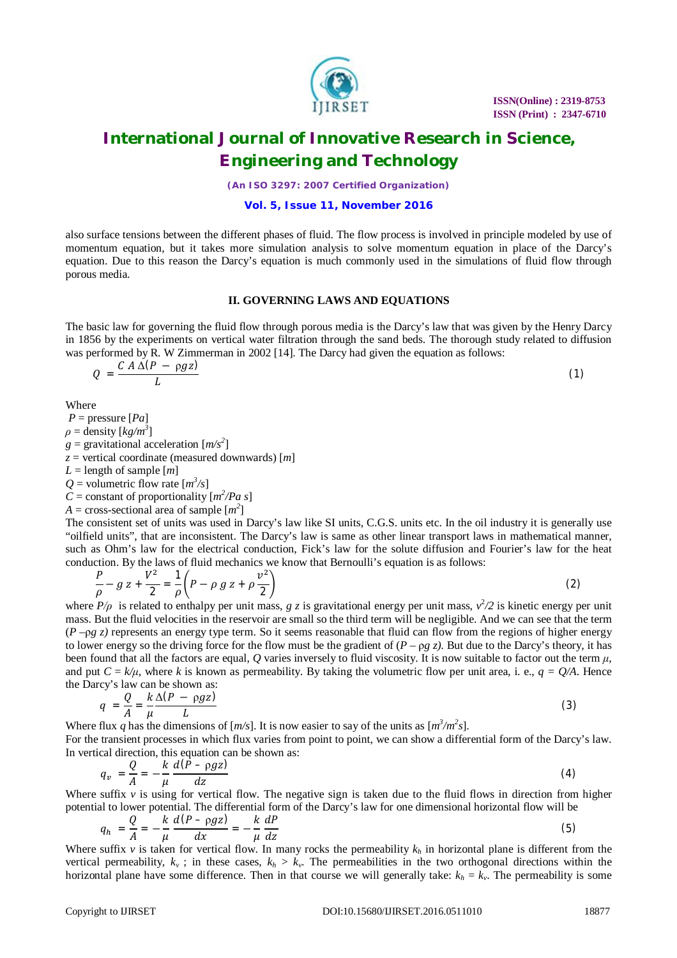

*(An ISO 3297: 2007 Certified Organization)*

### **Vol. 5, Issue 11, November 2016**

also surface tensions between the different phases of fluid. The flow process is involved in principle modeled by use of momentum equation, but it takes more simulation analysis to solve momentum equation in place of the Darcy's equation. Due to this reason the Darcy's equation is much commonly used in the simulations of fluid flow through porous media.

#### **II. GOVERNING LAWS AND EQUATIONS**

The basic law for governing the fluid flow through porous media is the Darcy's law that was given by the Henry Darcy in 1856 by the experiments on vertical water filtration through the sand beds. The thorough study related to diffusion was performed by R. W Zimmerman in 2002 [14]. The Darcy had given the equation as follows:

$$
Q = \frac{CA \Delta (P - \rho g z)}{L} \tag{1}
$$

Where

 $P =$  pressure  $[Pa]$ 

 $\rho =$  density  $[kg/m^3]$ 

 $g =$  gravitational acceleration  $[m/s^2]$ 

*z* = vertical coordinate (measured downwards) [*m*]

 $L =$  length of sample  $[m]$ 

 $Q =$  volumetric flow rate  $[m^3/s]$ 

*C* = constant of proportionality  $[m^2/Pa \ s]$ 

 $A = \text{cross-sectional area of sample } [m^2]$ 

The consistent set of units was used in Darcy's law like SI units, C.G.S. units etc. In the oil industry it is generally use "oilfield units", that are inconsistent. The Darcy's law is same as other linear transport laws in mathematical manner, such as Ohm's law for the electrical conduction, Fick's law for the solute diffusion and Fourier's law for the heat conduction. By the laws of fluid mechanics we know that Bernoulli's equation is as follows:

$$
\frac{P}{\rho} - g z + \frac{V^2}{2} = \frac{1}{\rho} \left( P - \rho g z + \rho \frac{v^2}{2} \right)
$$
\n(2)

where  $P/\rho$  is related to enthalpy per unit mass,  $g \, z$  is gravitational energy per unit mass,  $v^2/2$  is kinetic energy per unit mass. But the fluid velocities in the reservoir are small so the third term will be negligible. And we can see that the term  $(P - \rho g z)$  represents an energy type term. So it seems reasonable that fluid can flow from the regions of higher energy to lower energy so the driving force for the flow must be the gradient of  $(P - \rho g z)$ . But due to the Darcy's theory, it has been found that all the factors are equal, *Q* varies inversely to fluid viscosity. It is now suitable to factor out the term  $\mu$ , and put  $C = k/\mu$ , where *k* is known as permeability. By taking the volumetric flow per unit area, i. e.,  $q = Q/A$ . Hence the Darcy's law can be shown as:

$$
q = \frac{Q}{A} = \frac{k \Delta (P - \rho g z)}{\mu L}
$$
 (3)

Where flux q has the dimensions of  $[m/s]$ . It is now easier to say of the units as  $[m^3/m^2s]$ .

For the transient processes in which flux varies from point to point, we can show a differential form of the Darcy's law. In vertical direction, this equation can be shown as:

$$
q_v = \frac{Q}{A} = -\frac{k}{\mu} \frac{d(P - \rho gz)}{dz} \tag{4}
$$

Where suffix  $v$  is using for vertical flow. The negative sign is taken due to the fluid flows in direction from higher potential to lower potential. The differential form of the Darcy's law for one dimensional horizontal flow will be

$$
q_h = \frac{Q}{A} = -\frac{k}{\mu} \frac{d(P - \rho gz)}{dx} = -\frac{k}{\mu} \frac{dP}{dz}
$$
 (5)

Where suffix  $v$  is taken for vertical flow. In many rocks the permeability  $k_h$  in horizontal plane is different from the vertical permeability,  $k_v$ ; in these cases,  $k_h > k_v$ . The permeabilities in the two orthogonal directions within the horizontal plane have some difference. Then in that course we will generally take:  $k_h = k_v$ . The permeability is some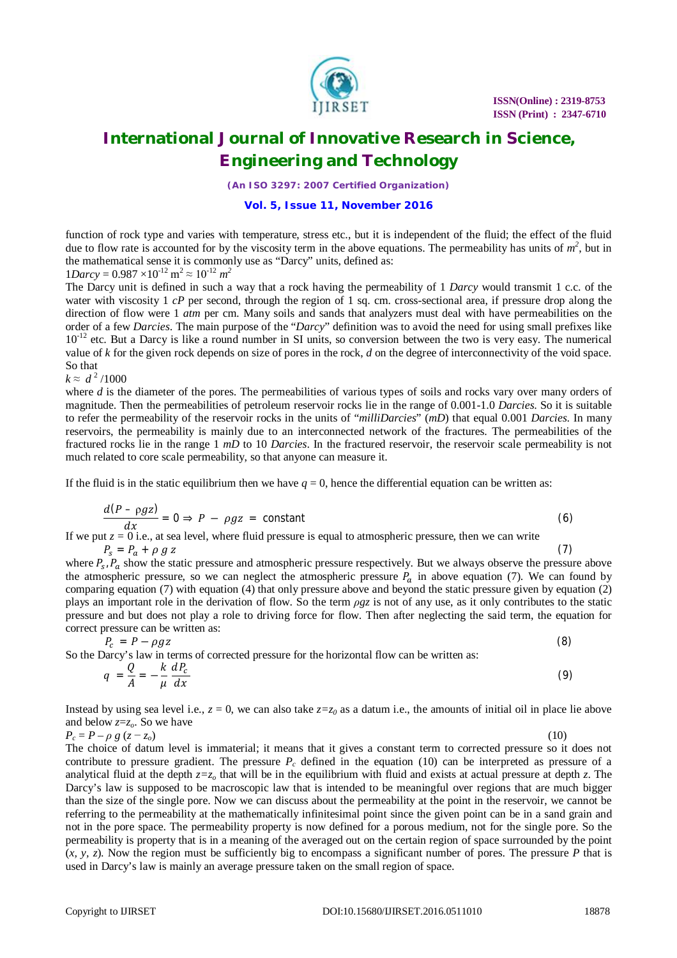

*(An ISO 3297: 2007 Certified Organization)*

### **Vol. 5, Issue 11, November 2016**

function of rock type and varies with temperature, stress etc., but it is independent of the fluid; the effect of the fluid due to flow rate is accounted for by the viscosity term in the above equations. The permeability has units of  $m^2$ , but in the mathematical sense it is commonly use as "Darcy" units, defined as:

$$
1Darcy = 0.987 \times 10^{-12} \text{ m}^2 \approx 10^{-12} \text{ m}^2
$$

The Darcy unit is defined in such a way that a rock having the permeability of 1 *Darcy* would transmit 1 c.c. of the water with viscosity 1 *cP* per second, through the region of 1 sq. cm. cross-sectional area, if pressure drop along the direction of flow were 1 *atm* per cm. Many soils and sands that analyzers must deal with have permeabilities on the order of a few *Darcies*. The main purpose of the "*Darcy*" definition was to avoid the need for using small prefixes like  $10^{-12}$  etc. But a Darcy is like a round number in SI units, so conversion between the two is very easy. The numerical value of *k* for the given rock depends on size of pores in the rock, *d* on the degree of interconnectivity of the void space. So that

### $k \approx d^2/1000$

where *d* is the diameter of the pores. The permeabilities of various types of soils and rocks vary over many orders of magnitude. Then the permeabilities of petroleum reservoir rocks lie in the range of 0.001-1.0 *Darcies*. So it is suitable to refer the permeability of the reservoir rocks in the units of "*milliDarcies*" (*mD*) that equal 0.001 *Darcies*. In many reservoirs, the permeability is mainly due to an interconnected network of the fractures. The permeabilities of the fractured rocks lie in the range 1 *mD* to 10 *Darcies*. In the fractured reservoir, the reservoir scale permeability is not much related to core scale permeability, so that anyone can measure it.

If the fluid is in the static equilibrium then we have  $q = 0$ , hence the differential equation can be written as:

$$
\frac{d(P - \rho gz)}{dx} = 0 \Rightarrow P - \rho gz = \text{constant}
$$
 (6)

If we put *z =* 0 i.e., at sea level, where fluid pressure is equal to atmospheric pressure, then we can write  $P_s = P_a + \rho g z$  (7)

where  $P_s$ ,  $P_a$  show the static pressure and atmospheric pressure respectively. But we always observe the pressure above the atmospheric pressure, so we can neglect the atmospheric pressure  $P_a$  in above equation (7). We can found by comparing equation (7) with equation (4) that only pressure above and beyond the static pressure given by equation (2) plays an important role in the derivation of flow. So the term *ρgz* is not of any use, as it only contributes to the static pressure and but does not play a role to driving force for flow. Then after neglecting the said term, the equation for correct pressure can be written as:

So the Darcy's law in terms of corrected pressure for the horizontal flow can be written as:  
\n
$$
q = \frac{Q}{A} = -\frac{k}{\mu} \frac{dP_c}{dx}
$$
\n(9)

Instead by using sea level i.e.,  $z = 0$ , we can also take  $z=z_0$  as a datum i.e., the amounts of initial oil in place lie above and below *z*=*zo*. So we have

 $P_c = P - \rho g (z - z_o)$  (10)

The choice of datum level is immaterial; it means that it gives a constant term to corrected pressure so it does not contribute to pressure gradient. The pressure  $P_c$  defined in the equation (10) can be interpreted as pressure of a analytical fluid at the depth  $z=z<sub>o</sub>$  that will be in the equilibrium with fluid and exists at actual pressure at depth  $z$ . The Darcy's law is supposed to be macroscopic law that is intended to be meaningful over regions that are much bigger than the size of the single pore. Now we can discuss about the permeability at the point in the reservoir, we cannot be referring to the permeability at the mathematically infinitesimal point since the given point can be in a sand grain and not in the pore space. The permeability property is now defined for a porous medium, not for the single pore. So the permeability is property that is in a meaning of the averaged out on the certain region of space surrounded by the point (*x, y, z*). Now the region must be sufficiently big to encompass a significant number of pores. The pressure *P* that is used in Darcy's law is mainly an average pressure taken on the small region of space.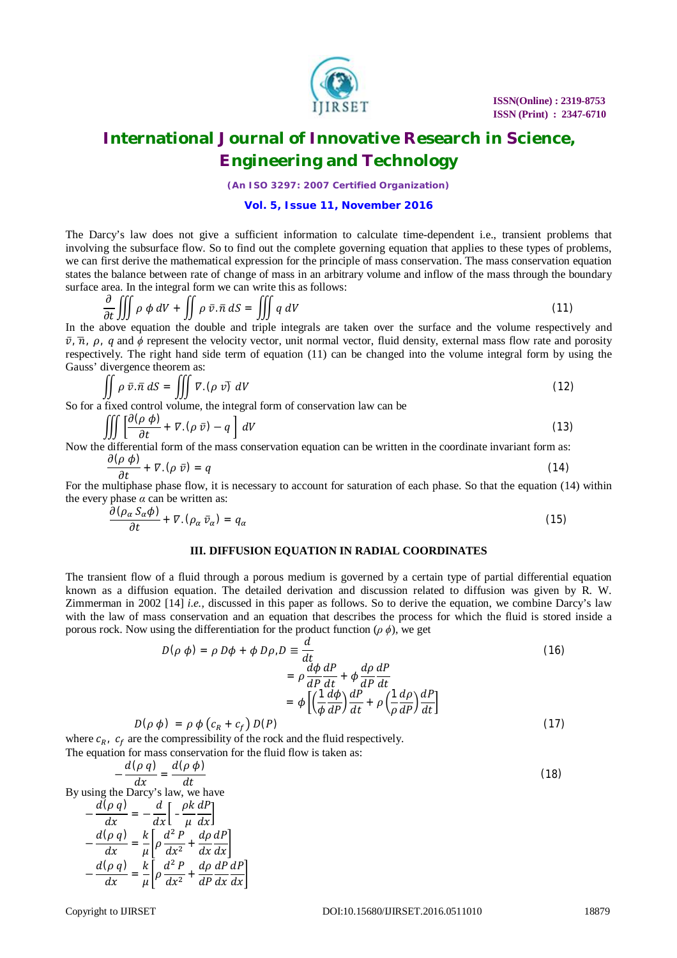

*(An ISO 3297: 2007 Certified Organization)*

### **Vol. 5, Issue 11, November 2016**

The Darcy's law does not give a sufficient information to calculate time-dependent i.e., transient problems that involving the subsurface flow. So to find out the complete governing equation that applies to these types of problems, we can first derive the mathematical expression for the principle of mass conservation. The mass conservation equation states the balance between rate of change of mass in an arbitrary volume and inflow of the mass through the boundary surface area. In the integral form we can write this as follows:

$$
\frac{\partial}{\partial t} \iiint \rho \, \phi \, dV + \iint \rho \, \bar{v} \cdot \bar{n} \, dS = \iiint q \, dV \tag{11}
$$

In the above equation the double and triple integrals are taken over the surface and the volume respectively and  $\bar{v}$ ,  $\bar{n}$ ,  $\rho$ ,  $q$  and  $\phi$  represent the velocity vector, unit normal vector, fluid density, external mass flow rate and porosity respectively. The right hand side term of equation (11) can be changed into the volume integral form by using the Gauss' divergence theorem as:

$$
\iint \rho \,\bar{v}.\,\bar{n} \,dS = \iiint \nabla \cdot (\rho \,v) \,dV \tag{12}
$$

So for a fixed control volume, the integral form of conservation law can be

$$
\iiint \left[ \frac{\partial (\rho \phi)}{\partial t} + \nabla \phi \right] dV
$$
\n(13)

Now the differential form of the mass conservation equation can be written in the coordinate invariant form as:  $\partial(n, \phi)$ 

$$
\frac{\partial \Phi}{\partial t} + \nabla \cdot (\rho \, \vec{v}) = q \tag{14}
$$

For the multiphase phase flow, it is necessary to account for saturation of each phase. So that the equation (14) within the every phase  $\alpha$  can be written as:

$$
\frac{\partial (\rho_{\alpha} S_{\alpha} \phi)}{\partial t} + \nabla \phi_{\alpha} \, \bar{v}_{\alpha}) = q_{\alpha} \tag{15}
$$

#### **III. DIFFUSION EQUATION IN RADIAL COORDINATES**

The transient flow of a fluid through a porous medium is governed by a certain type of partial differential equation known as a diffusion equation. The detailed derivation and discussion related to diffusion was given by R. W. Zimmerman in 2002 [14] *i.e.,* discussed in this paper as follows. So to derive the equation, we combine Darcy's law with the law of mass conservation and an equation that describes the process for which the fluid is stored inside a porous rock. Now using the differentiation for the product function  $(\rho \phi)$ , we get

$$
D(\rho \phi) = \rho D\phi + \phi D\rho, D \equiv \frac{d}{dt}
$$
  
\n
$$
= \rho \frac{d\phi}{dP} \frac{dP}{dt} + \phi \frac{d\rho}{dP} \frac{dP}{dt}
$$
  
\n
$$
= \phi \left[ \left( \frac{1}{\phi} \frac{d\phi}{dP} \right) \frac{dP}{dt} + \rho \left( \frac{1}{\rho} \frac{d\rho}{dP} \right) \frac{dP}{dt} \right]
$$
\n
$$
= \phi D(\rho)
$$
\n(17)

$$
D(\rho \phi) = \rho \phi \left( c_R + c_f \right) D(P) \tag{17}
$$

where  $c_{R_1}$ ,  $c_f$  are the compressibility of the rock and the fluid respectively. The equation for mass conservation for the fluid flow is taken as:

$$
-\frac{d(\rho q)}{dr} = \frac{d(\rho \phi)}{dt}
$$
 (18)

dx dt By using the Darcy's law, we have

$$
-\frac{d(\rho q)}{dx} = -\frac{d}{dx}\left[-\frac{\rho k}{\mu}\frac{dP}{dx}\right]
$$

$$
-\frac{d(\rho q)}{dx} = \frac{k}{\mu}\left[\rho\frac{d^2 P}{dx^2} + \frac{d\rho}{dx}\frac{dP}{dx}\right]
$$

$$
-\frac{d(\rho q)}{dx} = \frac{k}{\mu}\left[\rho\frac{d^2 P}{dx^2} + \frac{d\rho}{dP}\frac{dP}{dx}\frac{dP}{dx}\right]
$$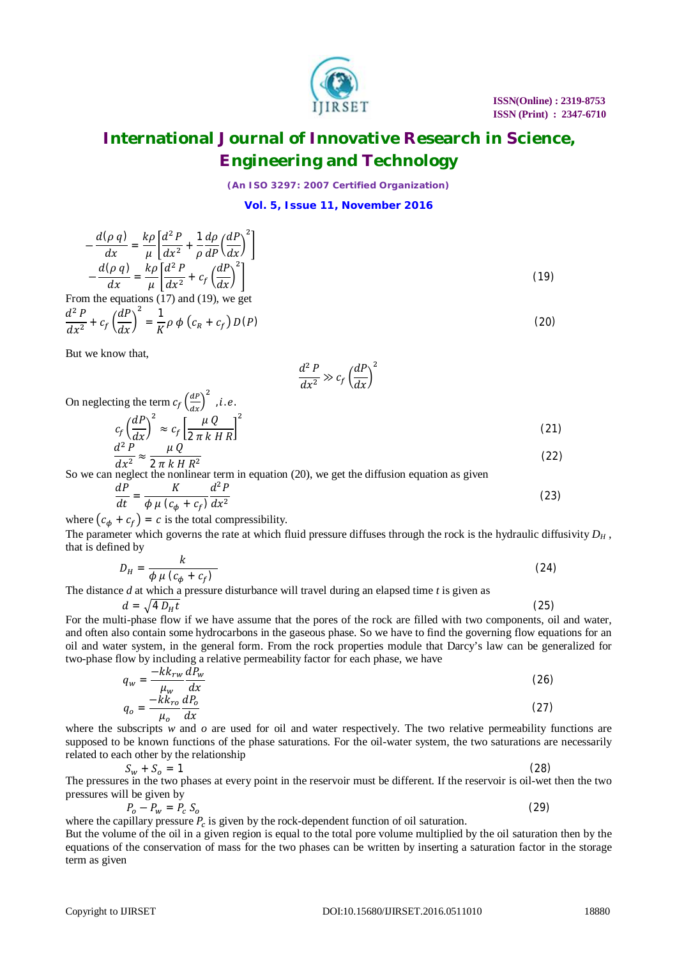

*(An ISO 3297: 2007 Certified Organization)*

**Vol. 5, Issue 11, November 2016**

$$
-\frac{d(\rho \ q)}{dx} = \frac{k\rho}{\mu} \left[ \frac{d^2 P}{dx^2} + \frac{1}{\rho} \frac{d\rho}{dP} \left( \frac{dP}{dx} \right)^2 \right]
$$

$$
-\frac{d(\rho \ q)}{dx} = \frac{k\rho}{\mu} \left[ \frac{d^2 P}{dx^2} + c_f \left( \frac{dP}{dx} \right)^2 \right]
$$
  
From the equations (17) and (19), we get

$$
\frac{d^2 P}{dx^2} + c_f \left(\frac{dP}{dx}\right)^2 = \frac{1}{K} \rho \phi \left(c_R + c_f\right) D(P) \tag{20}
$$

But we know that,

$$
\frac{d^2 P}{dx^2} \gg c_f \left(\frac{dP}{dx}\right)^2
$$

On neglecting the term 
$$
c_f \left(\frac{dP}{dx}\right)^2
$$
, *i. e.*

$$
c_f \left(\frac{dP}{dx}\right)^2 \approx c_f \left[\frac{\mu Q}{2\pi k HR}\right]^2\tag{21}
$$

$$
\frac{d^2 P}{dx^2} \approx \frac{\mu Q}{2\pi k H R^2}
$$
 (22)

So we can neglect the nonlinear term in equation (20), we get the diffusion equation as given

$$
\frac{dP}{dt} = \frac{K}{\phi \mu (c_{\phi} + c_{f})} \frac{d^{2}P}{dx^{2}}
$$
\n(23)

where  $(c_{\phi} + c_{f}) = c$  is the total compressibility.

The parameter which governs the rate at which fluid pressure diffuses through the rock is the hydraulic diffusivity  $D_H$ , that is defined by  $\mathbf{L}$ 

$$
D_H = \frac{\kappa}{\phi \mu \left(c_{\phi} + c_f\right)}\tag{24}
$$

The distance *d* at which a pressure disturbance will travel during an elapsed time *t* is given as

$$
d = \sqrt{4 D_H t} \tag{25}
$$

For the multi-phase flow if we have assume that the pores of the rock are filled with two components, oil and water, and often also contain some hydrocarbons in the gaseous phase. So we have to find the governing flow equations for an oil and water system, in the general form. From the rock properties module that Darcy's law can be generalized for two-phase flow by including a relative permeability factor for each phase, we have

$$
q_w = \frac{-kk_{rw}}{\mu_w} \frac{dP_w}{dx}
$$
  
\n
$$
q_o = \frac{-kk_{ro}}{\mu_o} \frac{dP_o}{dx}
$$
\n(26)

where the subscripts  $w$  and  $o$  are used for oil and water respectively. The two relative permeability functions are supposed to be known functions of the phase saturations. For the oil-water system, the two saturations are necessarily related to each other by the relationship

$$
S_w + S_o = 1 \tag{28}
$$

The pressures in the two phases at every point in the reservoir must be different. If the reservoir is oil-wet then the two pressures will be given by

$$
P_o - P_w = P_c S_o \tag{29}
$$

where the capillary pressure  $P_c$  is given by the rock-dependent function of oil saturation.

But the volume of the oil in a given region is equal to the total pore volume multiplied by the oil saturation then by the equations of the conservation of mass for the two phases can be written by inserting a saturation factor in the storage term as given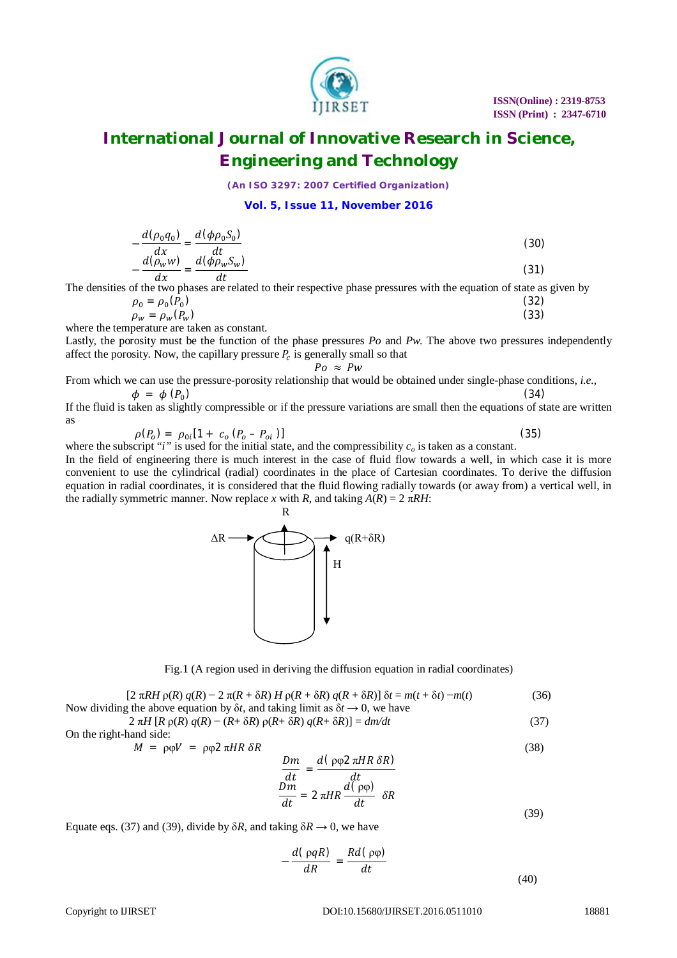

*(An ISO 3297: 2007 Certified Organization)*

**Vol. 5, Issue 11, November 2016**

$$
-\frac{d(\rho_0 q_0)}{dx} = \frac{d(\phi \rho_0 S_0)}{dt}
$$
  

$$
-\frac{d(\rho_w w)}{dx} = \frac{d(\phi \rho_w S_w)}{dt}
$$
 (30)

The densities of the two phases are related to their respective phase pressures with the equation of state as given by

$$
\rho_0 = \rho_0(\tilde{P}_0) \tag{32}
$$
\n
$$
\rho_w = \rho_w(P_w) \tag{33}
$$

where the temperature are taken as constant.

Lastly, the porosity must be the function of the phase pressures *Po* and *Pw*. The above two pressures independently affect the porosity. Now, the capillary pressure  $P_c$  is generally small so that

$$
Po \approx PW
$$

From which we can use the pressure-porosity relationship that would be obtained under single-phase conditions, *i.e.,*  $\phi = \phi(P_0)$ )  $(34)$ 

If the fluid is taken as slightly compressible or if the pressure variations are small then the equations of state are written as

$$
\rho(P_o) = \rho_{0i} [1 + c_o (P_o - P_{oi})]
$$
\n(35)

where the subscript "*i*" is used for the initial state, and the compressibility  $c<sub>o</sub>$  is taken as a constant.

In the field of engineering there is much interest in the case of fluid flow towards a well, in which case it is more convenient to use the cylindrical (radial) coordinates in the place of Cartesian coordinates. To derive the diffusion equation in radial coordinates, it is considered that the fluid flowing radially towards (or away from) a vertical well, in the radially symmetric manner. Now replace *x* with *R*, and taking  $A(R) = 2 \pi R H$ :



Fig.1 (A region used in deriving the diffusion equation in radial coordinates)

 $[2 \pi RH \rho(R) q(R) - 2 \pi(R + \delta R) H \rho(R + \delta R) q(R + \delta R)] \delta t = m(t + \delta t) - m(t)$  (36) Now dividing the above equation by  $\delta t$ , and taking limit as  $\delta t \rightarrow 0$ , we have

 $2 \pi H [R \rho(R) q(R) - (R + \delta R) \rho(R + \delta R) q(R + \delta R)] = dm/dt$  (37)

On the right-hand side:

$$
M = \rho \varphi V = \rho \varphi 2 \pi H R \delta R \tag{38}
$$

$$
\frac{Dm}{dt} = \frac{d(\rho \varphi 2 \pi HR \delta R)}{dt}
$$

$$
\frac{Dm}{dt} = 2 \pi HR \frac{d(\rho \varphi)}{dt} \delta R
$$
(39)

Equate eqs. (37) and (39), divide by  $\delta R$ , and taking  $\delta R \rightarrow 0$ , we have

$$
-\frac{d(\rho q R)}{dR} = \frac{R d(\rho \varphi)}{dt}
$$
(40)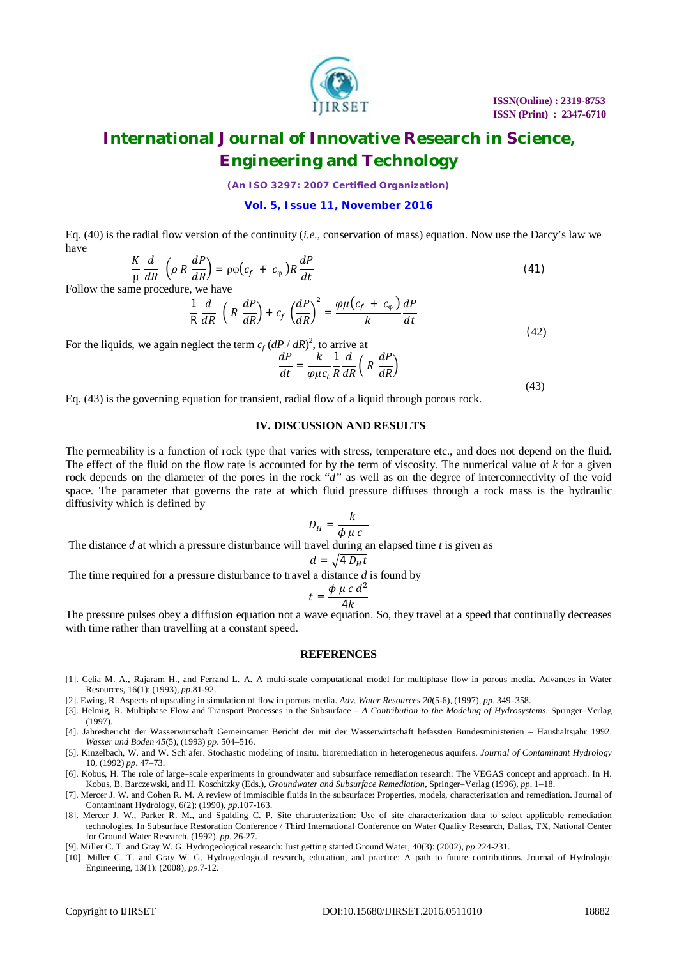

*(An ISO 3297: 2007 Certified Organization)*

#### **Vol. 5, Issue 11, November 2016**

Eq. (40) is the radial flow version of the continuity (*i.e.,* conservation of mass) equation. Now use the Darcy's law we have

$$
\frac{K}{\mu}\frac{d}{dR}\left(\rho R \frac{dP}{dR}\right) = \rho \varphi \left(c_f + c_\varphi\right) R \frac{dP}{dt} \tag{41}
$$

Follow the same procedure, we have

$$
\frac{1}{R}\frac{d}{dR}\left(R\frac{dP}{dR}\right)+c_f\left(\frac{dP}{dR}\right)^2=\frac{\varphi\mu\left(c_f+c_{\varphi}\right)}{k}\frac{dP}{dt}\tag{42}
$$

For the liquids, we again neglect the term  $c_f (dP / dR)^2$ , to arrive at

$$
\frac{dP}{dt} = \frac{k}{\varphi \mu c_t} \frac{1}{R} \frac{d}{dR} \left( R \frac{dP}{dR} \right)
$$
\n(43)

Eq. (43) is the governing equation for transient, radial flow of a liquid through porous rock.

#### **IV. DISCUSSION AND RESULTS**

The permeability is a function of rock type that varies with stress, temperature etc., and does not depend on the fluid. The effect of the fluid on the flow rate is accounted for by the term of viscosity. The numerical value of *k* for a given rock depends on the diameter of the pores in the rock "*d"* as well as on the degree of interconnectivity of the void space. The parameter that governs the rate at which fluid pressure diffuses through a rock mass is the hydraulic diffusivity which is defined by

$$
D_H = \frac{k}{\phi \mu c}
$$

The distance *d* at which a pressure disturbance will travel during an elapsed time *t* is given as

$$
d = \sqrt{4 D_H t}
$$

The time required for a pressure disturbance to travel a distance *d* is found by

$$
= \frac{\phi \mu c d}{4k}
$$

ଶ

 $t$ 

The pressure pulses obey a diffusion equation not a wave equation. So, they travel at a speed that continually decreases with time rather than travelling at a constant speed.

#### **REFERENCES**

- [1]. Celia M. A., Rajaram H., and Ferrand L. A. A multi-scale computational model for multiphase flow in porous media. Advances in Water Resources, 16(1): (1993), *pp*.81-92.
- [2]. Ewing, R. Aspects of upscaling in simulation of flow in porous media. *Adv. Water Resources 20*(5-6), (1997), *pp*. 349–358.
- [3]. Helmig, R. Multiphase Flow and Transport Processes in the Subsurface *– A Contribution to the Modeling of Hydrosystems*. Springer–Verlag (1997).
- [4]. Jahresbericht der Wasserwirtschaft Gemeinsamer Bericht der mit der Wasserwirtschaft befassten Bundesministerien Haushaltsjahr 1992. *Wasser und Boden 45*(5), (1993) *pp*. 504–516.
- [5]. Kinzelbach, W. and W. Sch¨afer. Stochastic modeling of insitu. bioremediation in heterogeneous aquifers. *Journal of Contaminant Hydrology*  10, (1992) *pp*. 47–73.
- [6]. Kobus, H. The role of large–scale experiments in groundwater and subsurface remediation research: The VEGAS concept and approach. In H. Kobus, B. Barczewski, and H. Koschitzky (Eds.), *Groundwater and Subsurface Remediation*, Springer–Verlag (1996), *pp*. 1–18.
- [7]. Mercer J. W. and Cohen R. M. A review of immiscible fluids in the subsurface: Properties, models, characterization and remediation. Journal of Contaminant Hydrology, 6(2): (1990), *pp*.107-163.
- [8]. Mercer J. W., Parker R. M., and Spalding C. P. Site characterization: Use of site characterization data to select applicable remediation technologies. In Subsurface Restoration Conference / Third International Conference on Water Quality Research, Dallas, TX, National Center for Ground Water Research. (1992), *pp*. 26-27.
- [9]. Miller C. T. and Gray W. G. Hydrogeological research: Just getting started Ground Water, 40(3): (2002), *pp*.224-231.
- [10]. Miller C. T. and Gray W. G. Hydrogeological research, education, and practice: A path to future contributions. Journal of Hydrologic Engineering, 13(1): (2008), *pp*.7-12.